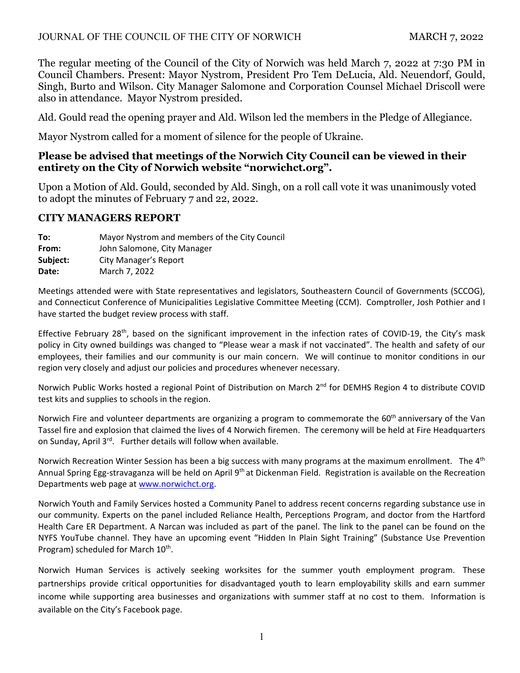### JOURNAL OF THE COUNCIL OF THE CITY OF NORWICH MARCH 7, 2022

The regular meeting of the Council of the City of Norwich was held March 7, 2022 at 7:30 PM in Council Chambers. Present: Mayor Nystrom, President Pro Tem DeLucia, Ald. Neuendorf, Gould, Singh, Burto and Wilson. City Manager Salomone and Corporation Counsel Michael Driscoll were also in attendance. Mayor Nystrom presided.

Ald. Gould read the opening prayer and Ald. Wilson led the members in the Pledge of Allegiance.

Mayor Nystrom called for a moment of silence for the people of Ukraine.

# **Please be advised that meetings of the Norwich City Council can be viewed in their entirety on the City of Norwich website "norwichct.org".**

Upon a Motion of Ald. Gould, seconded by Ald. Singh, on a roll call vote it was unanimously voted to adopt the minutes of February 7 and 22, 2022.

# **CITY MANAGERS REPORT**

**To:** Mayor Nystrom and members of the City Council **From:**  John Salomone, City Manager **Subject:** City Manager's Report **Date:** March 7, 2022

Meetings attended were with State representatives and legislators, Southeastern Council of Governments (SCCOG), and Connecticut Conference of Municipalities Legislative Committee Meeting (CCM). Comptroller, Josh Pothier and I have started the budget review process with staff.

Effective February 28<sup>th</sup>, based on the significant improvement in the infection rates of COVID-19, the City's mask policy in City owned buildings was changed to "Please wear a mask if not vaccinated". The health and safety of our employees, their families and our community is our main concern. We will continue to monitor conditions in our region very closely and adjust our policies and procedures whenever necessary.

Norwich Public Works hosted a regional Point of Distribution on March 2<sup>nd</sup> for DEMHS Region 4 to distribute COVID test kits and supplies to schools in the region.

Norwich Fire and volunteer departments are organizing a program to commemorate the 60<sup>th</sup> anniversary of the Van Tassel fire and explosion that claimed the lives of 4 Norwich firemen. The ceremony will be held at Fire Headquarters on Sunday, April 3<sup>rd</sup>. Further details will follow when available.

Norwich Recreation Winter Session has been a big success with many programs at the maximum enrollment. The 4<sup>th</sup> Annual Spring Egg-stravaganza will be held on April 9<sup>th</sup> at Dickenman Field. Registration is available on the Recreation Departments web page at www.norwichct.org.

Norwich Youth and Family Services hosted a Community Panel to address recent concerns regarding substance use in our community. Experts on the panel included Reliance Health, Perceptions Program, and doctor from the Hartford Health Care ER Department. A Narcan was included as part of the panel. The link to the panel can be found on the NYFS YouTube channel. They have an upcoming event "Hidden In Plain Sight Training" (Substance Use Prevention Program) scheduled for March 10<sup>th</sup>.

Norwich Human Services is actively seeking worksites for the summer youth employment program. These partnerships provide critical opportunities for disadvantaged youth to learn employability skills and earn summer income while supporting area businesses and organizations with summer staff at no cost to them. Information is available on the City's Facebook page.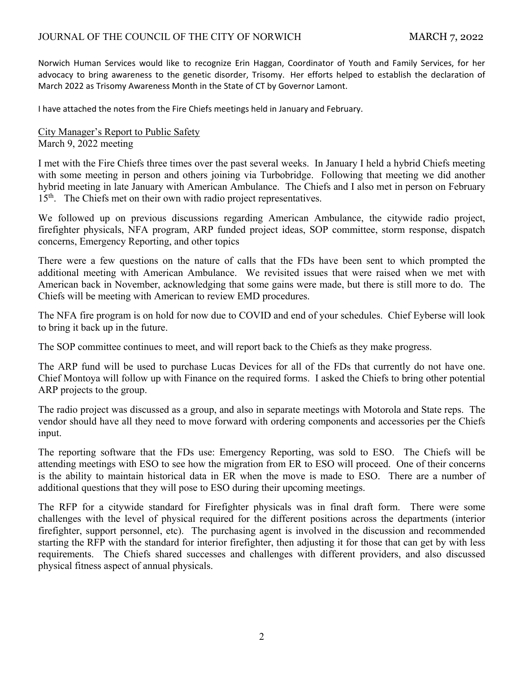Norwich Human Services would like to recognize Erin Haggan, Coordinator of Youth and Family Services, for her advocacy to bring awareness to the genetic disorder, Trisomy. Her efforts helped to establish the declaration of March 2022 as Trisomy Awareness Month in the State of CT by Governor Lamont.

I have attached the notes from the Fire Chiefs meetings held in January and February.

City Manager's Report to Public Safety March 9, 2022 meeting

I met with the Fire Chiefs three times over the past several weeks. In January I held a hybrid Chiefs meeting with some meeting in person and others joining via Turbobridge. Following that meeting we did another hybrid meeting in late January with American Ambulance. The Chiefs and I also met in person on February 15<sup>th</sup>. The Chiefs met on their own with radio project representatives.

We followed up on previous discussions regarding American Ambulance, the citywide radio project, firefighter physicals, NFA program, ARP funded project ideas, SOP committee, storm response, dispatch concerns, Emergency Reporting, and other topics

There were a few questions on the nature of calls that the FDs have been sent to which prompted the additional meeting with American Ambulance. We revisited issues that were raised when we met with American back in November, acknowledging that some gains were made, but there is still more to do. The Chiefs will be meeting with American to review EMD procedures.

The NFA fire program is on hold for now due to COVID and end of your schedules. Chief Eyberse will look to bring it back up in the future.

The SOP committee continues to meet, and will report back to the Chiefs as they make progress.

The ARP fund will be used to purchase Lucas Devices for all of the FDs that currently do not have one. Chief Montoya will follow up with Finance on the required forms. I asked the Chiefs to bring other potential ARP projects to the group.

The radio project was discussed as a group, and also in separate meetings with Motorola and State reps. The vendor should have all they need to move forward with ordering components and accessories per the Chiefs input.

The reporting software that the FDs use: Emergency Reporting, was sold to ESO. The Chiefs will be attending meetings with ESO to see how the migration from ER to ESO will proceed. One of their concerns is the ability to maintain historical data in ER when the move is made to ESO. There are a number of additional questions that they will pose to ESO during their upcoming meetings.

The RFP for a citywide standard for Firefighter physicals was in final draft form. There were some challenges with the level of physical required for the different positions across the departments (interior firefighter, support personnel, etc). The purchasing agent is involved in the discussion and recommended starting the RFP with the standard for interior firefighter, then adjusting it for those that can get by with less requirements. The Chiefs shared successes and challenges with different providers, and also discussed physical fitness aspect of annual physicals.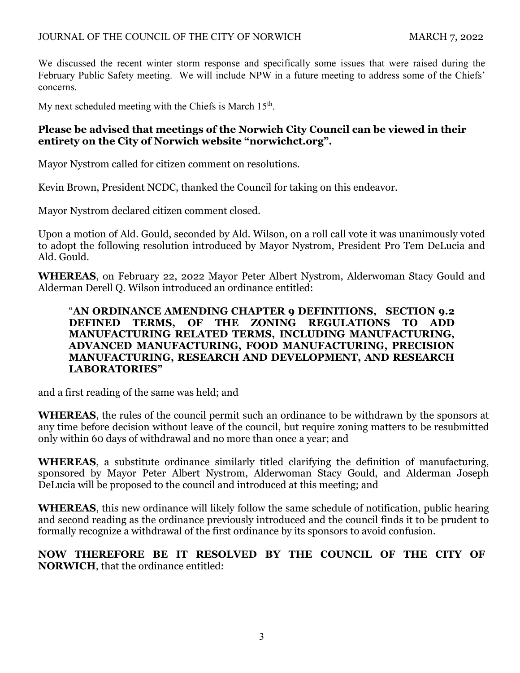We discussed the recent winter storm response and specifically some issues that were raised during the February Public Safety meeting. We will include NPW in a future meeting to address some of the Chiefs' concerns.

My next scheduled meeting with the Chiefs is March  $15<sup>th</sup>$ .

# **Please be advised that meetings of the Norwich City Council can be viewed in their entirety on the City of Norwich website "norwichct.org".**

Mayor Nystrom called for citizen comment on resolutions.

Kevin Brown, President NCDC, thanked the Council for taking on this endeavor.

Mayor Nystrom declared citizen comment closed.

Upon a motion of Ald. Gould, seconded by Ald. Wilson, on a roll call vote it was unanimously voted to adopt the following resolution introduced by Mayor Nystrom, President Pro Tem DeLucia and Ald. Gould.

**WHEREAS**, on February 22, 2022 Mayor Peter Albert Nystrom, Alderwoman Stacy Gould and Alderman Derell Q. Wilson introduced an ordinance entitled:

# "**AN ORDINANCE AMENDING CHAPTER 9 DEFINITIONS, SECTION 9.2 DEFINED TERMS, OF THE ZONING REGULATIONS TO ADD MANUFACTURING RELATED TERMS, INCLUDING MANUFACTURING, ADVANCED MANUFACTURING, FOOD MANUFACTURING, PRECISION MANUFACTURING, RESEARCH AND DEVELOPMENT, AND RESEARCH LABORATORIES"**

and a first reading of the same was held; and

**WHEREAS**, the rules of the council permit such an ordinance to be withdrawn by the sponsors at any time before decision without leave of the council, but require zoning matters to be resubmitted only within 60 days of withdrawal and no more than once a year; and

**WHEREAS**, a substitute ordinance similarly titled clarifying the definition of manufacturing, sponsored by Mayor Peter Albert Nystrom, Alderwoman Stacy Gould, and Alderman Joseph DeLucia will be proposed to the council and introduced at this meeting; and

**WHEREAS**, this new ordinance will likely follow the same schedule of notification, public hearing and second reading as the ordinance previously introduced and the council finds it to be prudent to formally recognize a withdrawal of the first ordinance by its sponsors to avoid confusion.

**NOW THEREFORE BE IT RESOLVED BY THE COUNCIL OF THE CITY OF NORWICH**, that the ordinance entitled: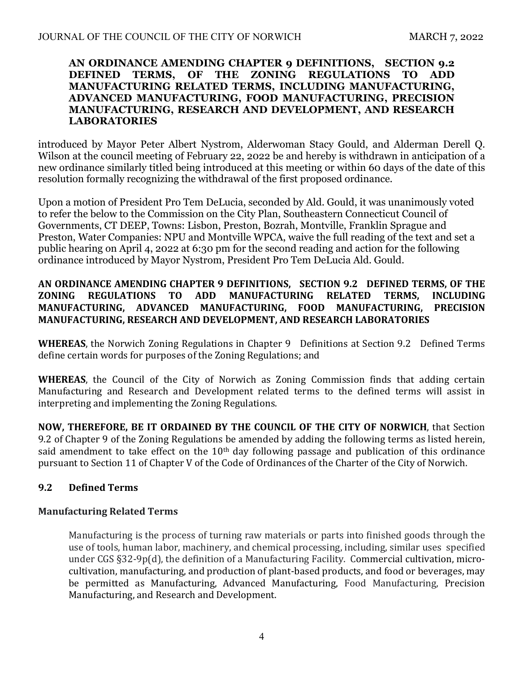#### **AN ORDINANCE AMENDING CHAPTER 9 DEFINITIONS, SECTION 9.2 DEFINED TERMS, OF THE ZONING REGULATIONS TO ADD MANUFACTURING RELATED TERMS, INCLUDING MANUFACTURING, ADVANCED MANUFACTURING, FOOD MANUFACTURING, PRECISION MANUFACTURING, RESEARCH AND DEVELOPMENT, AND RESEARCH LABORATORIES**

introduced by Mayor Peter Albert Nystrom, Alderwoman Stacy Gould, and Alderman Derell Q. Wilson at the council meeting of February 22, 2022 be and hereby is withdrawn in anticipation of a new ordinance similarly titled being introduced at this meeting or within 60 days of the date of this resolution formally recognizing the withdrawal of the first proposed ordinance.

Upon a motion of President Pro Tem DeLucia, seconded by Ald. Gould, it was unanimously voted to refer the below to the Commission on the City Plan, Southeastern Connecticut Council of Governments, CT DEEP, Towns: Lisbon, Preston, Bozrah, Montville, Franklin Sprague and Preston, Water Companies: NPU and Montville WPCA, waive the full reading of the text and set a public hearing on April 4, 2022 at 6:30 pm for the second reading and action for the following ordinance introduced by Mayor Nystrom, President Pro Tem DeLucia Ald. Gould.

# **AN ORDINANCE AMENDING CHAPTER 9 DEFINITIONS, SECTION 9.2 DEFINED TERMS, OF THE ZONING REGULATIONS TO ADD MANUFACTURING RELATED TERMS, INCLUDING MANUFACTURING, ADVANCED MANUFACTURING, FOOD MANUFACTURING, PRECISION MANUFACTURING, RESEARCH AND DEVELOPMENT, AND RESEARCH LABORATORIES**

**WHEREAS**, the Norwich Zoning Regulations in Chapter 9 Definitions at Section 9.2 Defined Terms define certain words for purposes of the Zoning Regulations; and

**WHEREAS**, the Council of the City of Norwich as Zoning Commission finds that adding certain Manufacturing and Research and Development related terms to the defined terms will assist in interpreting and implementing the Zoning Regulations.

**NOW, THEREFORE, BE IT ORDAINED BY THE COUNCIL OF THE CITY OF NORWICH**, that Section 9.2 of Chapter 9 of the Zoning Regulations be amended by adding the following terms as listed herein, said amendment to take effect on the  $10<sup>th</sup>$  day following passage and publication of this ordinance pursuant to Section 11 of Chapter V of the Code of Ordinances of the Charter of the City of Norwich.

# **9.2 Defined Terms**

# **Manufacturing Related Terms**

Manufacturing is the process of turning raw materials or parts into finished goods through the use of tools, human labor, machinery, and chemical processing, including, similar uses specified under CGS §32-9p(d), the definition of a Manufacturing Facility. Commercial cultivation, microcultivation, manufacturing, and production of plant-based products, and food or beverages, may be permitted as Manufacturing, Advanced Manufacturing, Food Manufacturing, Precision Manufacturing, and Research and Development.